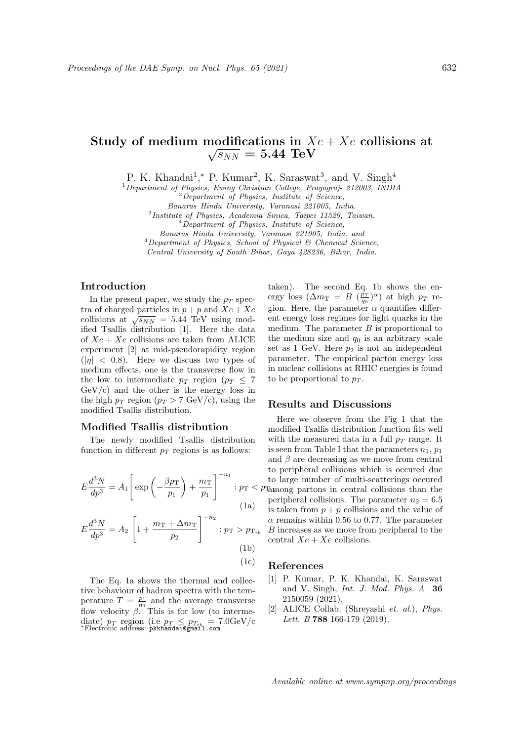#### Study of medium modifications in  $Xe+Xe$  collisions at no<br>∖  $\overline{s_{NN}}=5.44\,\,\text{TeV}$

P. K. Khandai<sup>1</sup>,\* P. Kumar<sup>2</sup>, K. Saraswat<sup>3</sup>, and V. Singh<sup>4</sup>

<sup>1</sup>Department of Physics, Ewing Christian College, Prayagraj- 212003, INDIA

 $2$ Department of Physics, Institute of Science,

Banaras Hindu University, Varanasi 221005, India.

3 Institute of Physics, Academia Sinica, Taipei 11529, Taiwan.

<sup>4</sup>Department of Physics, Institute of Science,

Banaras Hindu University, Varanasi 221005, India. and

 $4$ Department of Physics, School of Physical & Chemical Science,

Central University of South Bihar, Gaya 428236, Bihar, India.

# Introduction

In the present paper, we study the  $p_T$  spectra of charged particles in  $p + p$  and  $Xe + Xe$ collisions at  $\sqrt{s_{NN}} = 5.44$  TeV using modified Tsallis distribution [1]. Here the data of  $Xe + Xe$  collisions are taken from ALICE experiment [2] at mid-pseudorapidity region  $(|\eta| < 0.8)$ . Here we discuss two types of medium effects, one is the transverse flow in the low to intermediate  $p_T$  region ( $p_T \leq 7$  $GeV/c$ ) and the other is the energy loss in the high  $p_T$  region  $(p_T > 7 \text{ GeV/c})$ , using the modified Tsallis distribution.

### Modified Tsallis distribution

The newly modified Tsallis distribution function in different  $p_T$  regions is as follows:

$$
E\frac{d^3N}{dp^3} = A_1 \left[ \exp\left(-\frac{\beta p_{\rm T}}{p_1}\right) + \frac{m_{\rm T}}{p_1} \right]^{-n_1} : p_{\rm T} < \frac{1}{2} \tag{1a}
$$

$$
E\frac{d^3N}{dp^3} = A_2 \left[ 1 + \frac{m_{\rm T} + \Delta m_{\rm T}}{p_2} \right]^{-n_2} : p_{\rm T} > p_{\rm T_{th}} \tag{1b}
$$

(1c)

The Eq. 1a shows the thermal and collective behaviour of hadron spectra with the temperature  $T = \frac{p_1}{n_1}$  and the average transverse flow velocity  $\beta$ . This is for low (to intermediate)  $p_T$  region (i.e  $p_T \leq p_{T_{th}} = 7.0 \text{GeV/c}$ <sup>\*</sup>Electronic address: **pkkhandai@gmail.com** 

taken). The second Eq. 1b shows the energy loss  $(\Delta m_T = B \left( \frac{\bar{p}_T}{q_0} \right)^{\alpha})$  at high  $p_T$  region. Here, the parameter  $\alpha$  quantifies different energy loss regimes for light quarks in the medium. The parameter  $B$  is proportional to the medium size and  $q_0$  is an arbitrary scale set as 1 GeV. Here  $p_2$  is not an independent parameter. The empirical parton energy loss in nuclear collisions at RHIC energies is found to be proportional to  $p_T$ .

# Results and Discussions

 $: p_{\rm T} < p_{\rm T\hat{a}monog}$  partons in central collisions than the Here we observe from the Fig 1 that the modified Tsallis distribution function fits well with the measured data in a full  $p_T$  range. It is seen from Table I that the parameters  $n_1, p_1$ and  $\beta$  are decreasing as we move from central to peripheral collisions which is occured due to large number of multi-scatterings occured peripheral collisions. The parameter  $n_2 = 6.5$ is taken from  $p + p$  collisions and the value of  $\alpha$  remains within 0.56 to 0.77. The parameter B increases as we move from peripheral to the central  $Xe + Xe$  collisions.

# References

- [1] P. Kumar, P. K. Khandai, K. Saraswat and V. Singh, Int. J. Mod. Phys. A 36 2150059 (2021).
- [2] ALICE Collab. (Shreyashi et. al.), Phys. Lett. B 788 166-179 (2019).